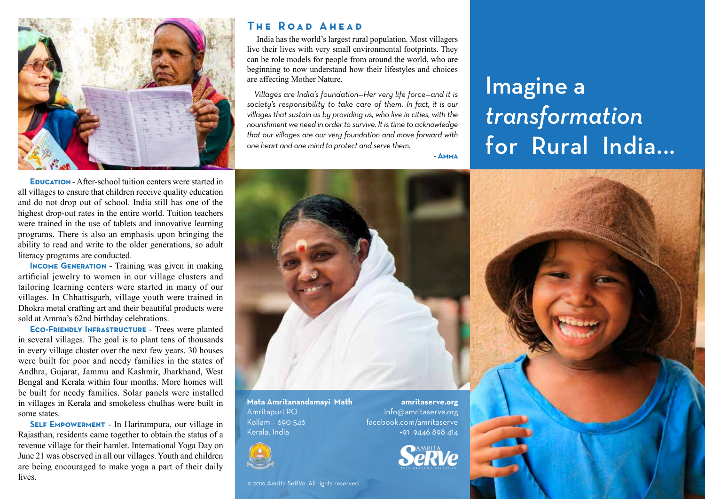

### **The Road Ahead**

 India has the world's largest rural population. Most villagers live their lives with very small environmental footprints. They can be role models for people from around the world, who are beginning to now understand how their lifestyles and choices are affecting Mother Nature.

*Villages are India's foundation—Her very life force—and it is society's responsibility to take care of them. In fact, it is our villages that sustain us by providing us, who live in cities, with the nourishment we need in order to survive. It is time to acknowledge that our villages are our very foundation and move forward with one heart and one mind to protect and serve them. -* **Amma**

# Imagine a *transformation* for Rural India...

**EDUCATION - After-school tuition centers were started in** all villages to ensure that children receive quality education and do not drop out of school. India still has one of the highest drop-out rates in the entire world. Tuition teachers were trained in the use of tablets and innovative learning programs. There is also an emphasis upon bringing the ability to read and write to the older generations, so adult literacy programs are conducted.

**INCOME GENERATION** - Training was given in making artificial jewelry to women in our village clusters and tailoring learning centers were started in many of our villages. In Chhattisgarh, village youth were trained in Dhokra metal crafting art and their beautiful products were sold at Amma's 62nd birthday celebrations.

**Eco-Friendly Infrastructure** - Trees were planted in several villages. The goal is to plant tens of thousands in every village cluster over the next few years. 30 houses were built for poor and needy families in the states of Andhra, Gujarat, Jammu and Kashmir, Jharkhand, West Bengal and Kerala within four months. More homes will be built for needy families. Solar panels were installed in villages in Kerala and smokeless chulhas were built in some states.

**Self Empowerment** - In Harirampura, our village in Rajasthan, residents came together to obtain the status of a revenue village for their hamlet. International Yoga Day on June 21 was observed in all our villages. Youth and children are being encouraged to make yoga a part of their daily **lives** 

**Mata Amritanandamayi Math**  Amritapuri PO Kollam – 690 546 Kerala, India



© 2016 Amrita SeRVe. All rights reserved.

**amritaserve.org** info@amritaserve.org facebook.com/amritaserve +91 9446 898 414